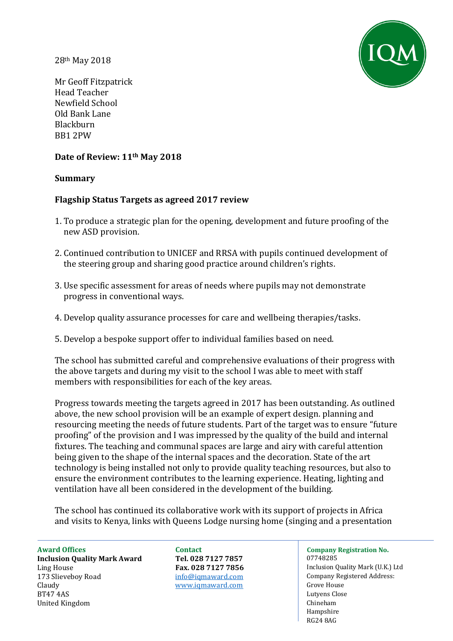28th May 2018



Mr Geoff Fitzpatrick Head Teacher Newfield School Old Bank Lane Blackburn BB1 2PW

## **Date of Review: 11th May 2018**

#### **Summary**

## **Flagship Status Targets as agreed 2017 review**

- 1. To produce a strategic plan for the opening, development and future proofing of the new ASD provision.
- 2. Continued contribution to UNICEF and RRSA with pupils continued development of the steering group and sharing good practice around children's rights.
- 3. Use specific assessment for areas of needs where pupils may not demonstrate progress in conventional ways.
- 4. Develop quality assurance processes for care and wellbeing therapies/tasks.
- 5. Develop a bespoke support offer to individual families based on need.

The school has submitted careful and comprehensive evaluations of their progress with the above targets and during my visit to the school I was able to meet with staff members with responsibilities for each of the key areas.

Progress towards meeting the targets agreed in 2017 has been outstanding. As outlined above, the new school provision will be an example of expert design. planning and resourcing meeting the needs of future students. Part of the target was to ensure "future proofing" of the provision and I was impressed by the quality of the build and internal fixtures. The teaching and communal spaces are large and airy with careful attention being given to the shape of the internal spaces and the decoration. State of the art technology is being installed not only to provide quality teaching resources, but also to ensure the environment contributes to the learning experience. Heating, lighting and ventilation have all been considered in the development of the building.

The school has continued its collaborative work with its support of projects in Africa and visits to Kenya, links with Queens Lodge nursing home (singing and a presentation

Ling House **Fax. 028 7127 7856** Inclusion Quality Mark (U.K.) Ltd 173 Slieveboy Road **Info@igmaward.com** Claudy [www.iqmaward.com](http://www.iqmaward.com/) Grove House BT47 4AS Lutyens Close United Kingdom Chineham Chineham Chineham Chineham Chineham Chineham Chineham Chineham Chineham Chineham Chineham

**Inclusion Quality Mark Award Tel. 028 7127 7857** 07748285

# **Award Offices Contact Company Registration No.**

 $\ln 100$  [info@iqmaward.com](mailto:info@iqmaward.com) Company Registered Address: Hampshire RG24 8AG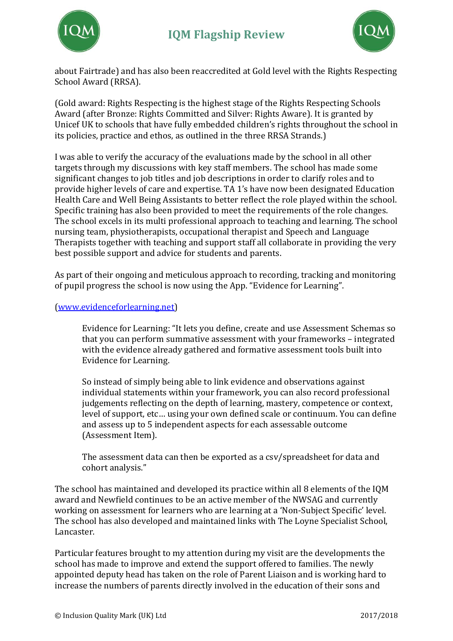



about Fairtrade) and has also been reaccredited at Gold level with the Rights Respecting School Award (RRSA).

(Gold award: Rights Respecting is the highest stage of the Rights Respecting Schools Award (after Bronze: Rights Committed and Silver: Rights Aware). It is granted by Unicef UK to schools that have fully embedded children's rights throughout the school in its policies, practice and ethos, as outlined in the three RRSA Strands.)

I was able to verify the accuracy of the evaluations made by the school in all other targets through my discussions with key staff members. The school has made some significant changes to job titles and job descriptions in order to clarify roles and to provide higher levels of care and expertise. TA 1's have now been designated Education Health Care and Well Being Assistants to better reflect the role played within the school. Specific training has also been provided to meet the requirements of the role changes. The school excels in its multi professional approach to teaching and learning. The school nursing team, physiotherapists, occupational therapist and Speech and Language Therapists together with teaching and support staff all collaborate in providing the very best possible support and advice for students and parents.

As part of their ongoing and meticulous approach to recording, tracking and monitoring of pupil progress the school is now using the App. "Evidence for Learning".

## [\(www.evidenceforlearning.net\)](http://www.evidenceforlearning.net/)

Evidence for Learning: "It lets you define, create and use Assessment Schemas so that you can perform summative assessment with your frameworks – integrated with the evidence already gathered and formative assessment tools built into Evidence for Learning.

So instead of simply being able to link evidence and observations against individual statements within your framework, you can also record professional judgements reflecting on the depth of learning, mastery, competence or context, level of support, etc… using your own defined scale or continuum. You can define and assess up to 5 independent aspects for each assessable outcome (Assessment Item).

The assessment data can then be exported as a csv/spreadsheet for data and cohort analysis."

The school has maintained and developed its practice within all 8 elements of the IQM award and Newfield continues to be an active member of the NWSAG and currently working on assessment for learners who are learning at a 'Non-Subject Specific' level. The school has also developed and maintained links with The Loyne Specialist School, Lancaster.

Particular features brought to my attention during my visit are the developments the school has made to improve and extend the support offered to families. The newly appointed deputy head has taken on the role of Parent Liaison and is working hard to increase the numbers of parents directly involved in the education of their sons and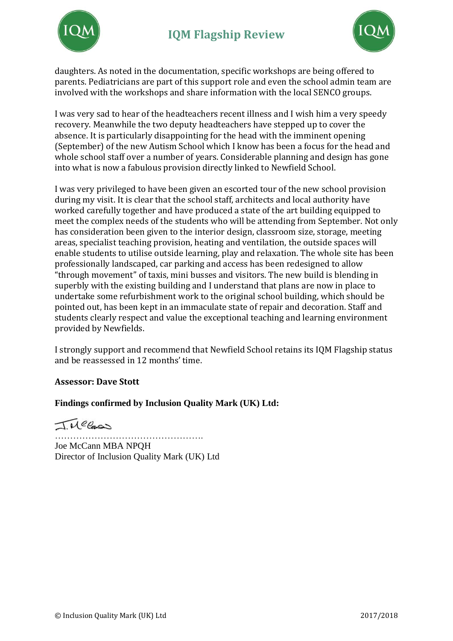



daughters. As noted in the documentation, specific workshops are being offered to parents. Pediatricians are part of this support role and even the school admin team are involved with the workshops and share information with the local SENCO groups.

I was very sad to hear of the headteachers recent illness and I wish him a very speedy recovery. Meanwhile the two deputy headteachers have stepped up to cover the absence. It is particularly disappointing for the head with the imminent opening (September) of the new Autism School which I know has been a focus for the head and whole school staff over a number of years. Considerable planning and design has gone into what is now a fabulous provision directly linked to Newfield School.

I was very privileged to have been given an escorted tour of the new school provision during my visit. It is clear that the school staff, architects and local authority have worked carefully together and have produced a state of the art building equipped to meet the complex needs of the students who will be attending from September. Not only has consideration been given to the interior design, classroom size, storage, meeting areas, specialist teaching provision, heating and ventilation, the outside spaces will enable students to utilise outside learning, play and relaxation. The whole site has been professionally landscaped, car parking and access has been redesigned to allow "through movement" of taxis, mini busses and visitors. The new build is blending in superbly with the existing building and I understand that plans are now in place to undertake some refurbishment work to the original school building, which should be pointed out, has been kept in an immaculate state of repair and decoration. Staff and students clearly respect and value the exceptional teaching and learning environment provided by Newfields.

I strongly support and recommend that Newfield School retains its IQM Flagship status and be reassessed in 12 months' time.

# **Assessor: Dave Stott**

#### **Findings confirmed by Inclusion Quality Mark (UK) Ltd:**

TMelas

…………………………………………. Joe McCann MBA NPQH Director of Inclusion Quality Mark (UK) Ltd